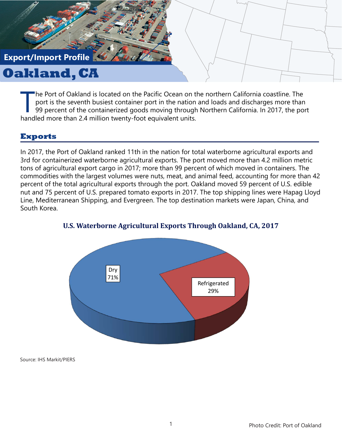# **Export/Import Profile**

# **Oakland, CA**

The Port of Oakland is located on the Pacific Ocean on the port is the seventh busiest container port in the nation 99 percent of the containerized goods moving through handled more than 2.4 million twenty-foot equivalent he Port of Oakland is located on the Pacific Ocean on the northern California coastline. The port is the seventh busiest container port in the nation and loads and discharges more than 99 percent of the containerized goods moving through Northern California. In 2017, the port

## **Exports**

In 2017, the Port of Oakland ranked 11th in the nation for total waterborne agricultural exports and 3rd for containerized waterborne agricultural exports. The port moved more than 4.2 million metric tons of agricultural export cargo in 2017; more than 99 percent of which moved in containers. The commodities with the largest volumes were nuts, meat, and animal feed, accounting for more than 42 percent of the total agricultural exports through the port. Oakland moved 59 percent of U.S. edible nut and 75 percent of U.S. prepared tomato exports in 2017. The top shipping lines were Hapag Lloyd Line, Mediterranean Shipping, and Evergreen. The top destination markets were Japan, China, and South Korea.



#### **U.S. Waterborne Agricultural Exports Through Oakland, CA, 2017**

Source: IHS Markit/PIERS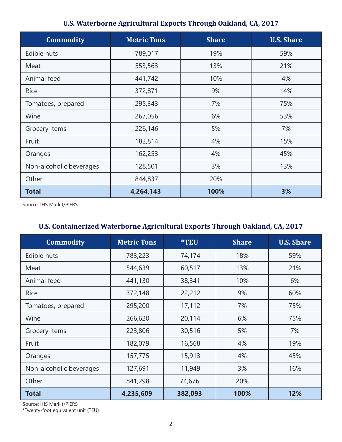| <b>Commodity</b>        | <b>Metric Tons</b> | <b>Share</b> | <b>U.S. Share</b> |
|-------------------------|--------------------|--------------|-------------------|
| Edible nuts             | 789,017            | 19%          | 59%               |
| Meat                    | 553,563            | 13%          | 21%               |
| Animal feed             | 441,742            | 10%          | 4%                |
| <b>Rice</b>             | 372,871            | 9%           | 14%               |
| Tomatoes, prepared      | 295,343            | 7%           | 75%               |
| Wine                    | 267,056            | 6%           | 53%               |
| Grocery items           | 226,146            | 5%           | 7%                |
| Fruit                   | 182,814            | 4%           | 15%               |
| Oranges                 | 162,253            | 4%           | 45%               |
| Non-alcoholic beverages | 128,501            | 3%           | 13%               |
| Other                   | 844,837            | 20%          |                   |
| <b>Total</b>            | 4,264,143          | 100%         | 3%                |

# **U.S. Waterborne Agricultural Exports Through Oakland, CA, 2017**

Source: IHS Markit/PIERS

# **U.S. Containerized Waterborne Agricultural Exports Through Oakland, CA, 2017**

| <b>Commodity</b>        | <b>Metric Tons</b> | <b>*TEU</b> | <b>Share</b> | <b>U.S. Share</b> |
|-------------------------|--------------------|-------------|--------------|-------------------|
| Edible nuts             | 783,223            | 74,174      | 18%          | 59%               |
| Meat                    | 544,639            | 60,517      | 13%          | 21%               |
| Animal feed             | 441,130            | 38,341      | 10%          | 6%                |
| <b>Rice</b>             | 372,148            | 22,212      | 9%           | 60%               |
| Tomatoes, prepared      | 295,200            | 17,112      | 7%           | 75%               |
| Wine                    | 266,620            | 20,114      | 6%           | 75%               |
| Grocery items           | 223,806            | 30,516      | 5%           | 7%                |
| Fruit                   | 182,079            | 16,568      | 4%           | 19%               |
| Oranges                 | 157,775            | 15,913      | 4%           | 45%               |
| Non-alcoholic beverages | 127,691            | 11,949      | 3%           | 16%               |
| Other                   | 841,298            | 74,676      | 20%          |                   |
| <b>Total</b>            | 4,235,609          | 382,093     | 100%         | 12%               |

Source: IHS Markit/PIERS

\*Twenty-foot equivalent unit (TEU)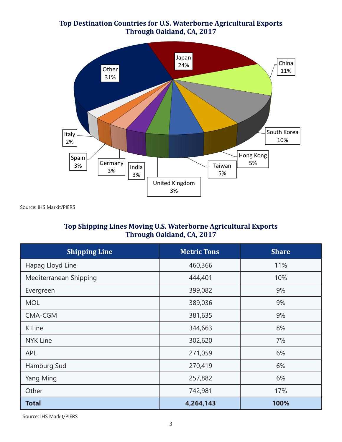#### **Top Destination Countries for U.S. Waterborne Agricultural Exports Through Oakland, CA, 2017**



Source: IHS Markit/PIERS

#### **Top Shipping Lines Moving U.S. Waterborne Agricultural Exports Through Oakland, CA, 2017**

| <b>Shipping Line</b>   | <b>Metric Tons</b> | <b>Share</b> |
|------------------------|--------------------|--------------|
| Hapag Lloyd Line       | 460,366            | 11%          |
| Mediterranean Shipping | 444,401            | 10%          |
| Evergreen              | 399,082            | 9%           |
| <b>MOL</b>             | 389,036            | 9%           |
| CMA-CGM                | 381,635            | 9%           |
| K Line                 | 344,663            | 8%           |
| <b>NYK Line</b>        | 302,620            | 7%           |
| <b>APL</b>             | 271,059            | 6%           |
| Hamburg Sud            | 270,419            | 6%           |
| Yang Ming              | 257,882            | 6%           |
| Other                  | 742,981            | 17%          |
| <b>Total</b>           | 4,264,143          | 100%         |

Source: IHS Markit/PIERS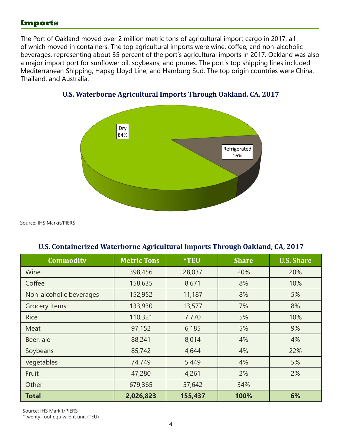## **Imports**

The Port of Oakland moved over 2 million metric tons of agricultural import cargo in 2017, all of which moved in containers. The top agricultural imports were wine, coffee, and non-alcoholic beverages, representing about 35 percent of the port's agricultural imports in 2017. Oakland was also a major import port for sunflower oil, soybeans, and prunes. The port's top shipping lines included Mediterranean Shipping, Hapag Lloyd Line, and Hamburg Sud. The top origin countries were China, Thailand, and Australia.



## **U.S. Waterborne Agricultural Imports Through Oakland, CA, 2017**

Source: IHS Markit/PIERS

| <b>Commodity</b>        | <b>Metric Tons</b> | <b>*TEU</b> | <b>Share</b> | <b>U.S. Share</b> |
|-------------------------|--------------------|-------------|--------------|-------------------|
| Wine                    | 398,456            | 28,037      | 20%          | 20%               |
| Coffee                  | 158,635            | 8,671       | 8%           | 10%               |
| Non-alcoholic beverages | 152,952            | 11,187      | 8%           | 5%                |
| Grocery items           | 133,930            | 13,577      | 7%           | 8%                |
| <b>Rice</b>             | 110,321            | 7,770       | 5%           | 10%               |
| Meat                    | 97,152             | 6,185       | 5%           | 9%                |
| Beer, ale               | 88,241             | 8,014       | 4%           | 4%                |
| Soybeans                | 85,742             | 4,644       | 4%           | 22%               |
| Vegetables              | 74,749             | 5,449       | 4%           | 5%                |
| Fruit                   | 47,280             | 4,261       | 2%           | 2%                |
| Other                   | 679,365            | 57,642      | 34%          |                   |
| <b>Total</b>            | 2,026,823          | 155,437     | 100%         | 6%                |

#### **U.S. Containerized Waterborne Agricultural Imports Through Oakland, CA, 2017**

Source: IHS Markit/PIERS

\*Twenty-foot equivalent unit (TEU)